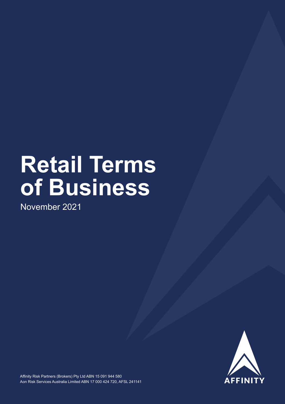# **Retail Terms of Business**

November 2021

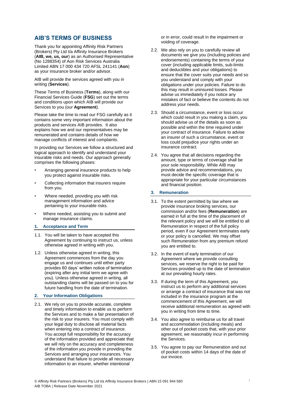# **AIB'S TERMS OF BUSINESS**

Thank you for appointing Affinity Risk Partners (Brokers) Pty Ltd t/a Affinity Insurance Brokers (**AIB, we, us, our**) as an Authorised Representative (No 1288354) of Aon Risk Services Australia Limited ABN 17 000 434 720 AFSL 241141 (**Aon**) as your insurance broker and/or advisor.

AIB will provide the services agreed with you in writing (**Services**).

These Terms of Business (**Terms**), along with our Financial Services Guide (**FSG**) set out the terms and conditions upon which AIB will provide our Services to you (our **Agreement**).

Please take the time to read our FSG carefully as it contains some very important information about the products and services AIB provides. It also explains how we and our representatives may be remunerated and contains details of how we manage conflicts of interest and complaints.

In providing our Services we follow a structured and logical approach to identify and understand your insurable risks and needs. Our approach generally comprises the following phases:

- Arranging general insurance products to help you protect against insurable risks.
- Collecting information that insurers require from you.
- Where needed, providing you with risk management information and advice pertaining to your insurable risks.
- Where needed, assisting you to submit and manage insurance claims.

#### **1. Acceptance and Term**

- 1.1. You will be taken to have accepted this Agreement by continuing to instruct us, unless otherwise agreed in writing with you.
- 1.2. Unless otherwise agreed in writing, this Agreement commences from the day you engage us and continues until either party provides 60 days' written notice of termination (expiring after any initial term we agree with you). Unless otherwise agreed in writing, all outstanding claims will be passed on to you for future handling from the date of termination.

# **2. Your Information Obligations**

2.1. We rely on you to provide accurate, complete and timely information to enable us to perform the Services and to make a fair presentation of the risk to your insurers. You must comply with your legal duty to disclose all material facts when entering into a contract of insurance. You accept full responsibility for the accuracy of the information provided and appreciate that we will rely on the accuracy and completeness of the information you provide in providing the Services and arranging your insurances. You understand that failure to provide all necessary information to an insurer, whether intentional

or in error, could result in the impairment or voiding of coverage.

- 2.2. We also rely on you to carefully review all documents we give you (including policies and endorsements) containing the terms of your cover (including applicable limits, sub-limits and deductibles and your obligations) to ensure that the cover suits your needs and so you understand and comply with your obligations under your policies. Failure to do this may result in uninsured losses. Please advise us immediately if you notice any mistakes of fact or believe the contents do not address your needs.
- 2.3. Should a circumstance, event or loss occur which could result in you making a claim, you should advise us of the details as soon as possible and within the time required under your contract of insurance. Failure to advise an insurer of such a circumstance, event or loss could prejudice your rights under an insurance contract.
- 2.4. You agree that all decisions regarding the amount, type or terms of coverage shall be your sole responsibility. While AIB may provide advice and recommendations, you must decide the specific coverage that is appropriate for your particular circumstances and financial position.

## **3. Remuneration**

- 3.1. To the extent permitted by law where we provide insurance broking services, our commission and/or fees (**Remuneration**) are earned in full at the time of the placement of the relevant policy and we will be entitled to all Remuneration in respect of the full policy period, even if our Agreement terminates early or your policy is cancelled. We may offset such Remuneration from any premium refund you are entitled to.
- 3.2. In the event of early termination of our Agreement where we provide consulting services, we reserve the right to be paid for Services provided up to the date of termination at our prevailing hourly rates.
- 3.3. If during the term of this Agreement, you instruct us to perform any additional services or arrange a contract of insurance that was not included in the insurance program at the commencement of this Agreement, we will receive additional remuneration as agreed with you in writing from time to time.
- 3.4. You also agree to reimburse us for all travel and accommodation (including meals) and other out of pocket costs that, with your prior agreement, we reasonably incur in performing the Services.
- 3.5. You agree to pay our Remuneration and out of pocket costs within 14 days of the date of our invoice.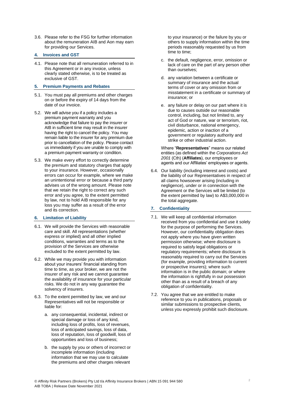3.6. Please refer to the FSG for further information about the remuneration AIB and Aon may earn for providing our Services.

## **4. Invoices and GST**

4.1. Please note that all remuneration referred to in this Agreement or in any invoice, unless clearly stated otherwise, is to be treated as exclusive of GST.

# **5. Premium Payments and Rebates**

- 5.1. You must pay all premiums and other charges on or before the expiry of 14 days from the date of our invoice.
- 5.2. We will advise you if a policy includes a premium payment warranty and you acknowledge that failure to pay the insurer or AIB in sufficient time may result in the insurer having the right to cancel the policy. You may remain liable to the insurer for any premium due prior to cancellation of the policy. Please contact us immediately if you are unable to comply with a premium payment warranty or condition.
- 5.3. We make every effort to correctly determine the premium and statutory charges that apply to your insurance. However, occasionally errors can occur for example, where we make an unintentional error or because a third party advises us of the wrong amount. Please note that we retain the right to correct any such error and you agree, to the extent permitted by law, not to hold AIB responsible for any loss you may suffer as a result of the error and its correction.

# **6. Limitation of Liability**

- 6.1. We will provide the Services with reasonable care and skill. All representations (whether express or implied) and all other implied conditions, warranties and terms as to the provision of the Services are otherwise excluded to the extent permitted by law.
- 6.2. While we may provide you with information about your insurers' financial standing from time to time, as your broker, we are not the insurer of any risk and we cannot guarantee the availability of insurance for your particular risks. We do not in any way guarantee the solvency of insurers.
- 6.3. To the extent permitted by law, we and our Representatives will not be responsible or liable for:
	- a. any consequential, incidental, indirect or special damage or loss of any kind, including loss of profits, loss of revenues, loss of anticipated savings, loss of data, loss of reputation, loss of goodwill, loss of opportunities and loss of business;
	- b. the supply by you or others of incorrect or incomplete information (including information that we may use to calculate the premiums and other charges relevant

to your insurance) or the failure by you or others to supply information within the time periods reasonably requested by us from time to time;

- c. the default, negligence, error, omission or lack of care on the part of any person other than ourselves;
- d. any variation between a certificate or summary of insurance and the actual terms of cover or any omission from or misstatement in a certificate or summary of insurance; or
- e. any failure or delay on our part where it is due to causes outside our reasonable control, including, but not limited to, any act of God or nature, war or terrorism, riot, civil disturbance, national emergency, epidemic, action or inaction of a government or regulatory authority and strike or other industrial action.

Where "**Representatives**" means our related entities (as defined within the *Corporations Act 2001* (Cth) (**Affiliates**), our employees or agents and our Affiliates' employees or agents.

6.4. Our liability (including interest and costs) and the liability of our Representatives in respect of all claims howsoever arising (including in negligence), under or in connection with the Agreement or the Services will be limited (to the extent permitted by law) to A\$3,000,000 in the total aggregate.

# **7. Confidentiality**

- 7.1. We will keep all confidential information received from you confidential and use it solely for the purpose of performing the Services. However, our confidentiality obligation does not apply where you have given written permission otherwise; where disclosure is required to satisfy legal obligations or regulatory requirements; where disclosure is reasonably required to carry out the Services (for example, providing information to current or prospective insurers); where such information is in the public domain; or where the information is rightfully in our possession other than as a result of a breach of any obligation of confidentiality.
- 7.2. You agree that we are entitled to make reference to you in publications, proposals or similar submissions to prospective clients, unless you expressly prohibit such disclosure.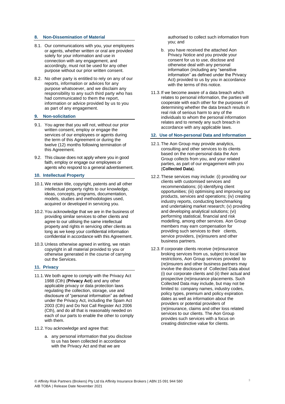#### **8. Non-Dissemination of Material**

- 8.1. Our communications with you, your employees or agents, whether written or oral are provided solely for your information and use in connection with any engagement, and accordingly, must not be used for any other purpose without our prior written consent.
- 8.2. No other party is entitled to rely on any of our reports, information or advices for any purpose whatsoever, and we disclaim any responsibility to any such third party who has had communicated to them the report, information or advice provided by us to you as part of any engagement.

#### **9. Non-solicitation**

- 9.1. You agree that you will not, without our prior written consent, employ or engage the services of our employees or agents during the term of this Agreement or during the twelve (12) months following termination of this Agreement.
- 9.2. This clause does not apply where you in good faith, employ or engage our employees or agents who respond to a general advertisement.

# **10. Intellectual Property**

- 10.1.We retain title, copyright, patents and all other intellectual property rights to our knowledge, ideas, concepts, programs, documentation, models, studies and methodologies used, acquired or developed in servicing you.
- 10.2. You acknowledge that we are in the business of providing similar services to other clients and agree to our utilising the same intellectual property and rights in servicing other clients as long as we keep your confidential information confidential in accordance with this Agreement.
- 10.3.Unless otherwise agreed in writing, we retain copyright in all material provided to you or otherwise generated in the course of carrying out the Services.

## **11. Privacy**

- 11.1.We both agree to comply with the Privacy Act 1988 (Cth) (**Privacy Act**) and any other applicable privacy or data protection laws regulating the collection, storage, use and disclosure of "personal information" as defined under the Privacy Act, including the Spam Act 2003 (Cth) and Do Not Call Register Act 2006 (Cth), and do all that is reasonably needed on each of our parts to enable the other to comply with them.
- 11.2.You acknowledge and agree that:
	- a. any personal information that you disclose to us has been collected in accordance with the Privacy Act and that we are

authorised to collect such information from you; and

- b. you have received the attached Aon Privacy Notice and you provide your consent for us to use, disclose and otherwise deal with any personal information (including any "sensitive information" as defined under the Privacy Act) provided to us by you in accordance with the terms of this notice.
- 11.3. If we become aware of a data breach which relates to personal information, the parties will cooperate with each other for the purposes of determining whether the data breach results in real risk of serious harm to any of the individuals to whom the personal information relates and to remedy any such breach in accordance with any applicable laws.

## **12. Use of Non-personal Data and Information**

- 12.1.The Aon Group may provide analytics, consulting and other services to its clients based on the non-personal data the Aon Group collects from you, and your related parties, as part of our engagement with you (**Collected Data**).
- 12.2.These services may include: (i) providing our clients with customised services and recommendations; (ii) identifying client opportunities; (iii) optimising and improving our products, services and operations; (iv) creating industry reports, conducting benchmarking and undertaking market research; (v) providing and developing analytical solutions; (vi) performing statistical, financial and risk modelling, among other services. Aon Group members may earn compensation for providing such services to their clients, service providers, (re)insurers and other business partners.
- 12.3. If corporate clients receive (re)insurance broking services from us, subject to local law restrictions, Aon Group services provided to (re)insurers and other business partners may involve the disclosure of Collected Data about (i) our corporate clients and (ii) their actual and prospective (re)insurance placements. Such Collected Data may include, but may not be limited to: company names, industry codes, policy types, premium and policy expiration dates as well as information about the providers or potential providers of (re)insurance, claims and other loss related services to our clients. The Aon Group provides such services with a focus on creating distinctive value for clients.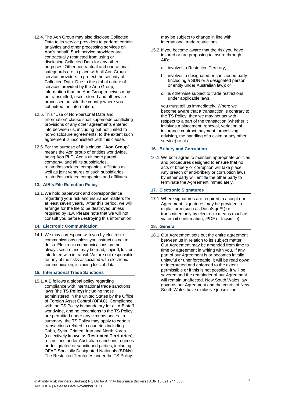- 12.4.The Aon Group may also disclose Collected Data to its service providers to perform certain analytics and other processing services on Aon's behalf. Such service providers are contractually restricted from using or disclosing Collected Data for any other purposes. Other contractual and operational safeguards are in place with all Aon Group service providers to protect the security of Collected Data. Due to the global nature of services provided by the Aon Group, information that the Aon Group receives may be transmitted, used, stored and otherwise processed outside the country where you submitted the information.
- 12.5.This "Use of Non-personal Data and Information" clause shall supersede conflicting provisions of any other agreements entered into between us, including but not limited to non-disclosure agreements, to the extent such agreement is inconsistent with this clause.
- 12.6.For the purpose of this clause, "**Aon Group**" means the Aon group of entities worldwide. being Aon PLC, Aon's ultimate parent company, and all its subsidiaries, related/associated companies, affiliates as well as joint ventures of such subsidiaries. related/associated companies and affiliates.

#### **13. AIB's File Retention Policy**

13.1.We hold paperwork and correspondence regarding your risk and insurance matters for at least seven years. After this period, we will arrange for the file to be destroyed unless required by law. Please note that we will not consult you before destroying this information.

#### **14. Electronic Communication**

14.1. We may correspond with you by electronic communications unless you instruct us not to do so. Electronic communications are not always secure and may be read, copied, lost or interfered with in transit. We are not responsible for any of the risks associated with electronic communication, including loss of data.

#### **15. International Trade Sanctions**

15.1.AIB follows a global policy regarding compliance with international trade sanctions laws (the **TS Policy**) including those administered in the United States by the Office of Foreign Asset Control (**OFAC**). Compliance with the TS Policy is mandatory for all AIB staff worldwide, and no exceptions to the TS Policy are permitted under any circumstances. In summary, the TS Policy may apply to certain transactions related to countries including Cuba, Syria, Crimea, Iran and North Korea (collectively known as **Restricted Territories**), restrictions under Australian sanctions regimes or designated or sanctioned parties, including OFAC Specially Designated Nationals (**SDNs**). The Restricted Territories under the TS Policy

may be subject to change in line with international trade restrictions.

- 15.2. If you become aware that the risk you have insured or are proposing to insure through AIB:
	- a. involves a Restricted Territory;
	- b. involves a designated or sanctioned party (including a SDN or a designated person or entity under Australian law); or
	- c. is otherwise subject to trade restrictions under applicable laws,

you must tell us immediately. Where we become aware that a transaction is contrary to the TS Policy, then we may not act with respect to a part of the transaction (whether it involves a placement, renewal, variation of insurance contract, payment, processing, advising, the handling of a claim or any other service) or at all.

#### **16. Bribery and Corruption**

16.1.We both agree to maintain appropriate policies and procedures designed to ensure that no acts of bribery or corruption will take place. Any breach of anti-bribery or corruption laws by either party will entitle the other party to terminate the Agreement immediately.

#### **17. Electronic Signatures**

17.1.Where signatures are required to accept our Agreement, signatures may be provided in digital form (such as DocuSign™) or transmitted only by electronic means (such as via email confirmation, .PDF or facsimile).

#### **18. General**

18.1.Our Agreement sets out the entire agreement between us in relation to its subject matter. Our Agreement may be amended from time to time by agreement in writing with you. If any part of our Agreement is or becomes invalid, unlawful or unenforceable, it will be read down or interpreted and enforced to the extent permissible or if this is not possible, it will be severed and the remainder of our Agreement will remain unaffected. New South Wales law governs our Agreement and the courts of New South Wales have exclusive jurisdiction.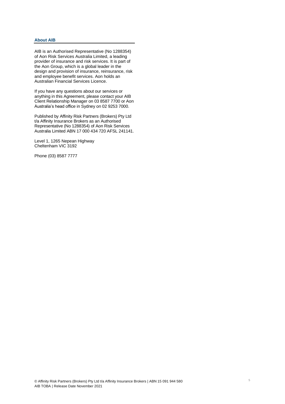# **About AIB**

AIB is an Authorised Representative (No 1288354) of Aon Risk Services Australia Limited, a leading provider of insurance and risk services. It is part of the Aon Group, which is a global leader in the design and provision of insurance, reinsurance, risk and employee benefit services. Aon holds an Australian Financial Services Licence.

If you have any questions about our services or anything in this Agreement, please contact your AIB Client Relationship Manager on 03 8587 7700 or Aon Australia's head office in Sydney on 02 9253 7000.

Published by Affinity Risk Partners (Brokers) Pty Ltd t/a Affinity Insurance Brokers as an Authorised Representative (No 1288354) of Aon Risk Services Australia Limited ABN 17 000 434 720 AFSL 241141.

Level 1, 1265 Nepean Highway Cheltenham VIC 3192

Phone (03) 8587 7777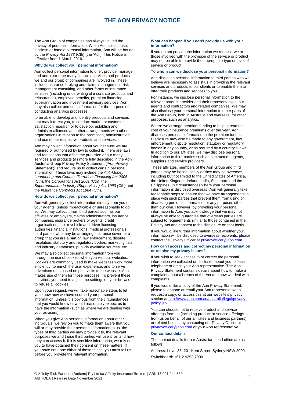# **THE AON PRIVACY NOTICE**

The Aon Group of companies has always valued the privacy of personal information. When Aon collect, use, disclose or handle personal information, Aon will be bound by the *Privacy Act 1988* (Cth) (the 'Act'). This Notice is effective from 1 March 2016.

#### **Why do we collect your personal information?**

Aon collect personal information to offer, provide, manage and administer the many financial services and products we and our group of companies are involved in. These include insurance broking and claims management, risk management consulting, and other forms of insurance services (including underwriting of insurance products and reinsurance), employee benefits, premium financing, superannuation and investment advisory services. Aon may also collect personal information for the purpose of conducting analytics processes,

to be able to develop and identify products and services that may interest you, to conduct market or customer satisfaction research or to develop, establish and administer alliances and other arrangements with other organisations in relation to the promotion, administration and use of our respective products and services.

Aon may collect information about you because we are required or authorised by law to collect it. There are laws and regulations that affect the provision of our many services and products (as more fully described in the Aon Australia Group Privacy Policy Statement ('Aon Privacy Statement')) and require us to collect certain personal information. These laws may include the *Anti-Money Laundering and Counter-Terrorism Financing Act 2006* (Cth), the *Corporations Act 2001* (Cth), the *Superannuation Industry (Supervision) Act 1993 (*Cth) and the *Insurance Contracts Act 1984* (Cth).

#### **How do we collect your personal information?**

Aon will generally collect information directly from you or your agents, unless impracticable or unreasonable to do so. We may collect it from third parties such as our affiliates or employers, claims administrators, insurance companies, insurance brokers or agents, credit organisations, motor vehicle and driver licensing authorities, financial institutions, medical professionals, third parties who may be arranging insurance cover for a group that you are a part of, law enforcement, dispute resolution, statutory and regulatory bodies, marketing lists and industry databases, publicly available sources, etc.

We may also collect personal information from you through the use of cookies when you visit our websites. Cookies are commonly used to make websites work more efficiently, to enrich the user experience, and to serve advertisements based on past visits to the website. Aon makes use of them for those purposes. To prevent these activities, you need to adjust the settings on your browser to refuse all cookies.

Upon your request, we will take reasonable steps to let you know how we have sourced your personal information, unless it is obvious from the circumstances that you would know or would reasonably expect us to have the information (such as where we are dealing with your advisers).

When you give Aon personal information about other individuals, we rely on you to make them aware that you will or may provide their personal information to us, the types of third parties we may provide it to, the relevant purposes we and those third parties will use it for, and how they can access it. If it is sensitive information, we rely on you to have obtained their consent on these matters. If you have not done either of these things, you must tell us before you provide the relevant information.

#### **What can happen if you don't provide us with your information?**

If you do not provide the information we request, we or those involved with the provision of the service or product may not be able to provide the appropriate type or level of service or product.

#### **To whom can we disclose your personal information?**

Aon discloses personal information to third parties who we believe are necessary to assist us in providing the relevant services and products to our clients or to enable them to offer their products and services to you.

For instance, we disclose personal information to the relevant product provider and their representatives, our agents and contractors and related companies. We may also disclose your personal information to other parts of the Aon Group, both in Australia and overseas, for other purposes, such as analytics.

Where we arrange premium funding to help spread the cost of your insurance premiums over the year, Aon discloses personal information to the premium funder. Disclosure may also be made to any government, law enforcement, dispute resolution, statutory or regulatory bodies in any country, or as required by a country's laws. In addition to our affiliates, we may disclose personal information to third parties such as contractors, agents, suppliers and service providers.

These affiliates, members of the Aon Group and third parties may be based locally or they may be overseas, including but not limited to the United States of America, the United Kingdom, Ireland, India, Singapore and the Philippines. In circumstances where your personal information is disclosed overseas, Aon will generally take reasonable steps to ensure that we have arrangements in place with such parties that prevent them from using or disclosing personal information for any purposes other than our own. However, by providing your personal information to Aon, you acknowledge that we may not always be able to guarantee that overseas parties are subject to requirements similar to those contained in the Privacy Act and consent to the disclosure on that basis.

If you would like further information about whether your information will be disclosed to overseas recipients, please contact the Privacy Officer at [privacyofficer@aon.com](mailto:privacyofficer@aon.com)

#### **How can I access and correct my personal information or resolve my privacy issues?**

If you wish to seek access to or correct the personal information we collected or disclosed about you, please telephone or email your Aon representative. The Aon Privacy Statement contains details about how to make a complaint about a breach of the Act and how we deal with complaints.

If you would like a copy of the Aon Privacy Statement, please telephone or email your Aon representative to request a copy, or access this at our website's privacy section at [http://www.aon.com.au/australia/legal/privacy](http://www.aon.com.au/australia/legal/privacy-policy.jsp)[policy.jsp](http://www.aon.com.au/australia/legal/privacy-policy.jsp)

You can choose not to receive product and service offerings from us (including product or service offerings from us on behalf of our affiliates and business partners) or related bodies, by contacting our Privacy Officer at [privacyofficer@aon.com](mailto:privacyofficer@aon.com) or your Aon representative.

#### **Our contact details**

The contact details for our Australian head office are as follows:

Address: Level 33, 201 Kent Street, Sydney NSW 2000 Switchboard: +61 2 9253 7000